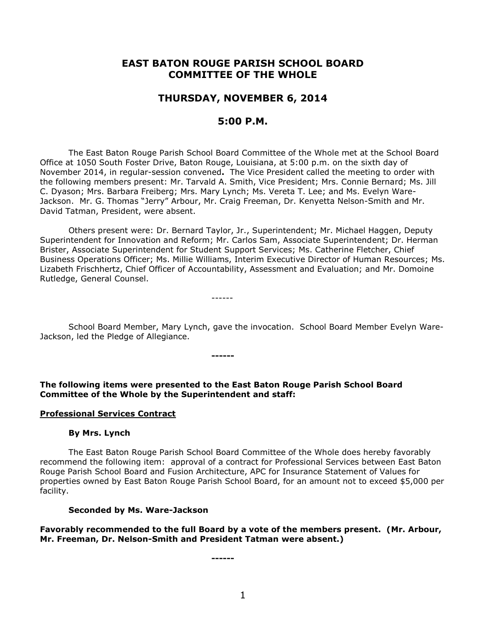# **EAST BATON ROUGE PARISH SCHOOL BOARD COMMITTEE OF THE WHOLE**

## **THURSDAY, NOVEMBER 6, 2014**

## **5:00 P.M.**

The East Baton Rouge Parish School Board Committee of the Whole met at the School Board Office at 1050 South Foster Drive, Baton Rouge, Louisiana, at 5:00 p.m. on the sixth day of November 2014, in regular-session convened**.** The Vice President called the meeting to order with the following members present: Mr. Tarvald A. Smith, Vice President; Mrs. Connie Bernard; Ms. Jill C. Dyason; Mrs. Barbara Freiberg; Mrs. Mary Lynch; Ms. Vereta T. Lee; and Ms. Evelyn Ware-Jackson. Mr. G. Thomas "Jerry" Arbour, Mr. Craig Freeman, Dr. Kenyetta Nelson-Smith and Mr. David Tatman, President, were absent.

Others present were: Dr. Bernard Taylor, Jr., Superintendent; Mr. Michael Haggen, Deputy Superintendent for Innovation and Reform; Mr. Carlos Sam, Associate Superintendent; Dr. Herman Brister, Associate Superintendent for Student Support Services; Ms. Catherine Fletcher, Chief Business Operations Officer; Ms. Millie Williams, Interim Executive Director of Human Resources; Ms. Lizabeth Frischhertz, Chief Officer of Accountability, Assessment and Evaluation; and Mr. Domoine Rutledge, General Counsel.

------

School Board Member, Mary Lynch, gave the invocation. School Board Member Evelyn Ware-Jackson, led the Pledge of Allegiance.

**------**

**The following items were presented to the East Baton Rouge Parish School Board Committee of the Whole by the Superintendent and staff:**

#### **Professional Services Contract**

#### **By Mrs. Lynch**

The East Baton Rouge Parish School Board Committee of the Whole does hereby favorably recommend the following item: approval of a contract for Professional Services between East Baton Rouge Parish School Board and Fusion Architecture, APC for Insurance Statement of Values for properties owned by East Baton Rouge Parish School Board, for an amount not to exceed \$5,000 per facility.

#### **Seconded by Ms. Ware-Jackson**

**Favorably recommended to the full Board by a vote of the members present. (Mr. Arbour, Mr. Freeman, Dr. Nelson-Smith and President Tatman were absent.)**

**------**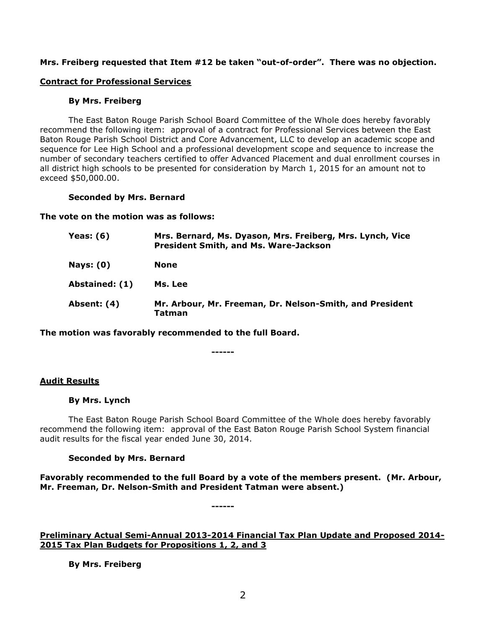## **Mrs. Freiberg requested that Item #12 be taken "out-of-order". There was no objection.**

## **Contract for Professional Services**

#### **By Mrs. Freiberg**

The East Baton Rouge Parish School Board Committee of the Whole does hereby favorably recommend the following item: approval of a contract for Professional Services between the East Baton Rouge Parish School District and Core Advancement, LLC to develop an academic scope and sequence for Lee High School and a professional development scope and sequence to increase the number of secondary teachers certified to offer Advanced Placement and dual enrollment courses in all district high schools to be presented for consideration by March 1, 2015 for an amount not to exceed \$50,000.00.

#### **Seconded by Mrs. Bernard**

**The vote on the motion was as follows:**

| Yeas: $(6)$    | Mrs. Bernard, Ms. Dyason, Mrs. Freiberg, Mrs. Lynch, Vice<br><b>President Smith, and Ms. Ware-Jackson</b> |
|----------------|-----------------------------------------------------------------------------------------------------------|
| Nays: $(0)$    | None                                                                                                      |
| Abstained: (1) | Ms. Lee                                                                                                   |
| Absent: (4)    | Mr. Arbour, Mr. Freeman, Dr. Nelson-Smith, and President<br>Tatman                                        |

**The motion was favorably recommended to the full Board.**

# **Audit Results**

#### **By Mrs. Lynch**

The East Baton Rouge Parish School Board Committee of the Whole does hereby favorably recommend the following item: approval of the East Baton Rouge Parish School System financial audit results for the fiscal year ended June 30, 2014.

**------**

## **Seconded by Mrs. Bernard**

**Favorably recommended to the full Board by a vote of the members present. (Mr. Arbour, Mr. Freeman, Dr. Nelson-Smith and President Tatman were absent.)**

**------**

**Preliminary Actual Semi-Annual 2013-2014 Financial Tax Plan Update and Proposed 2014- 2015 Tax Plan Budgets for Propositions 1, 2, and 3**

**By Mrs. Freiberg**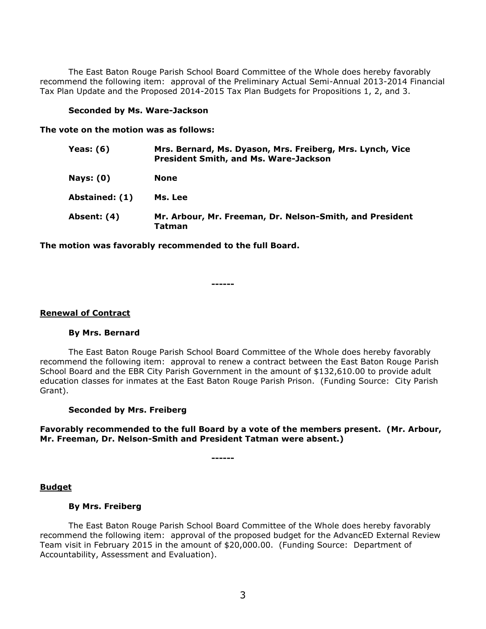The East Baton Rouge Parish School Board Committee of the Whole does hereby favorably recommend the following item: approval of the Preliminary Actual Semi-Annual 2013-2014 Financial Tax Plan Update and the Proposed 2014-2015 Tax Plan Budgets for Propositions 1, 2, and 3.

#### **Seconded by Ms. Ware-Jackson**

**The vote on the motion was as follows:**

| Yeas: (6)        | Mrs. Bernard, Ms. Dyason, Mrs. Freiberg, Mrs. Lynch, Vice<br><b>President Smith, and Ms. Ware-Jackson</b> |
|------------------|-----------------------------------------------------------------------------------------------------------|
| <b>Nays: (0)</b> | None                                                                                                      |
| Abstained: (1)   | Ms. Lee                                                                                                   |
| Absent: (4)      | Mr. Arbour, Mr. Freeman, Dr. Nelson-Smith, and President<br>Tatman                                        |

**The motion was favorably recommended to the full Board.**

**------**

#### **Renewal of Contract**

#### **By Mrs. Bernard**

The East Baton Rouge Parish School Board Committee of the Whole does hereby favorably recommend the following item: approval to renew a contract between the East Baton Rouge Parish School Board and the EBR City Parish Government in the amount of \$132,610.00 to provide adult education classes for inmates at the East Baton Rouge Parish Prison. (Funding Source: City Parish Grant).

#### **Seconded by Mrs. Freiberg**

**Favorably recommended to the full Board by a vote of the members present. (Mr. Arbour, Mr. Freeman, Dr. Nelson-Smith and President Tatman were absent.)**

**------**

#### **Budget**

#### **By Mrs. Freiberg**

The East Baton Rouge Parish School Board Committee of the Whole does hereby favorably recommend the following item: approval of the proposed budget for the AdvancED External Review Team visit in February 2015 in the amount of \$20,000.00. (Funding Source: Department of Accountability, Assessment and Evaluation).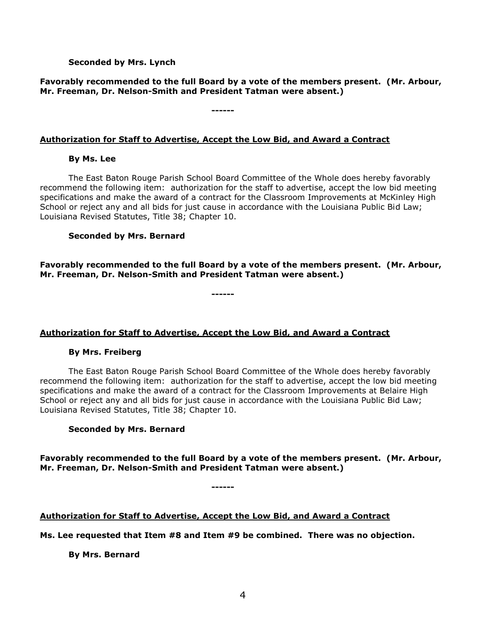## **Seconded by Mrs. Lynch**

## **Favorably recommended to the full Board by a vote of the members present. (Mr. Arbour, Mr. Freeman, Dr. Nelson-Smith and President Tatman were absent.)**

**Authorization for Staff to Advertise, Accept the Low Bid, and Award a Contract**

**------**

**By Ms. Lee**

The East Baton Rouge Parish School Board Committee of the Whole does hereby favorably recommend the following item: authorization for the staff to advertise, accept the low bid meeting specifications and make the award of a contract for the Classroom Improvements at McKinley High School or reject any and all bids for just cause in accordance with the Louisiana Public Bid Law; Louisiana Revised Statutes, Title 38; Chapter 10.

#### **Seconded by Mrs. Bernard**

**Favorably recommended to the full Board by a vote of the members present. (Mr. Arbour, Mr. Freeman, Dr. Nelson-Smith and President Tatman were absent.)**

**------**

## **Authorization for Staff to Advertise, Accept the Low Bid, and Award a Contract**

#### **By Mrs. Freiberg**

The East Baton Rouge Parish School Board Committee of the Whole does hereby favorably recommend the following item: authorization for the staff to advertise, accept the low bid meeting specifications and make the award of a contract for the Classroom Improvements at Belaire High School or reject any and all bids for just cause in accordance with the Louisiana Public Bid Law; Louisiana Revised Statutes, Title 38; Chapter 10.

#### **Seconded by Mrs. Bernard**

**Favorably recommended to the full Board by a vote of the members present. (Mr. Arbour, Mr. Freeman, Dr. Nelson-Smith and President Tatman were absent.)**

**------**

## **Authorization for Staff to Advertise, Accept the Low Bid, and Award a Contract**

**Ms. Lee requested that Item #8 and Item #9 be combined. There was no objection.**

**By Mrs. Bernard**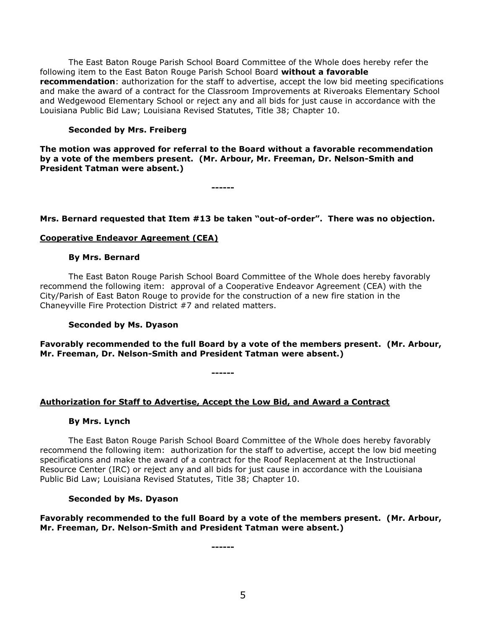The East Baton Rouge Parish School Board Committee of the Whole does hereby refer the following item to the East Baton Rouge Parish School Board **without a favorable recommendation**: authorization for the staff to advertise, accept the low bid meeting specifications and make the award of a contract for the Classroom Improvements at Riveroaks Elementary School and Wedgewood Elementary School or reject any and all bids for just cause in accordance with the Louisiana Public Bid Law; Louisiana Revised Statutes, Title 38; Chapter 10.

## **Seconded by Mrs. Freiberg**

**The motion was approved for referral to the Board without a favorable recommendation by a vote of the members present. (Mr. Arbour, Mr. Freeman, Dr. Nelson-Smith and President Tatman were absent.)**

**------**

## **Mrs. Bernard requested that Item #13 be taken "out-of-order". There was no objection.**

## **Cooperative Endeavor Agreement (CEA)**

#### **By Mrs. Bernard**

The East Baton Rouge Parish School Board Committee of the Whole does hereby favorably recommend the following item: approval of a Cooperative Endeavor Agreement (CEA) with the City/Parish of East Baton Rouge to provide for the construction of a new fire station in the Chaneyville Fire Protection District #7 and related matters.

#### **Seconded by Ms. Dyason**

**Favorably recommended to the full Board by a vote of the members present. (Mr. Arbour, Mr. Freeman, Dr. Nelson-Smith and President Tatman were absent.)**

**------**

## **Authorization for Staff to Advertise, Accept the Low Bid, and Award a Contract**

#### **By Mrs. Lynch**

The East Baton Rouge Parish School Board Committee of the Whole does hereby favorably recommend the following item: authorization for the staff to advertise, accept the low bid meeting specifications and make the award of a contract for the Roof Replacement at the Instructional Resource Center (IRC) or reject any and all bids for just cause in accordance with the Louisiana Public Bid Law; Louisiana Revised Statutes, Title 38; Chapter 10.

## **Seconded by Ms. Dyason**

## **Favorably recommended to the full Board by a vote of the members present. (Mr. Arbour, Mr. Freeman, Dr. Nelson-Smith and President Tatman were absent.)**

**------**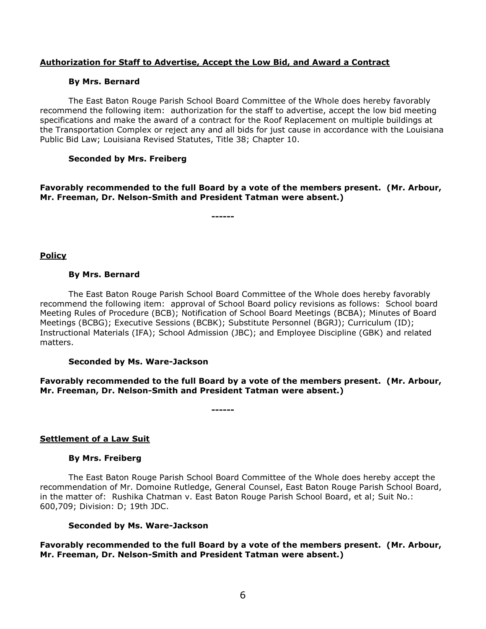## **Authorization for Staff to Advertise, Accept the Low Bid, and Award a Contract**

#### **By Mrs. Bernard**

The East Baton Rouge Parish School Board Committee of the Whole does hereby favorably recommend the following item: authorization for the staff to advertise, accept the low bid meeting specifications and make the award of a contract for the Roof Replacement on multiple buildings at the Transportation Complex or reject any and all bids for just cause in accordance with the Louisiana Public Bid Law; Louisiana Revised Statutes, Title 38; Chapter 10.

#### **Seconded by Mrs. Freiberg**

**Favorably recommended to the full Board by a vote of the members present. (Mr. Arbour, Mr. Freeman, Dr. Nelson-Smith and President Tatman were absent.)**

**------**

#### **Policy**

#### **By Mrs. Bernard**

The East Baton Rouge Parish School Board Committee of the Whole does hereby favorably recommend the following item: approval of School Board policy revisions as follows: School board Meeting Rules of Procedure (BCB); Notification of School Board Meetings (BCBA); Minutes of Board Meetings (BCBG); Executive Sessions (BCBK); Substitute Personnel (BGRJ); Curriculum (ID); Instructional Materials (IFA); School Admission (JBC); and Employee Discipline (GBK) and related matters.

#### **Seconded by Ms. Ware-Jackson**

**Favorably recommended to the full Board by a vote of the members present. (Mr. Arbour, Mr. Freeman, Dr. Nelson-Smith and President Tatman were absent.)**

**------**

## **Settlement of a Law Suit**

#### **By Mrs. Freiberg**

The East Baton Rouge Parish School Board Committee of the Whole does hereby accept the recommendation of Mr. Domoine Rutledge, General Counsel, East Baton Rouge Parish School Board, in the matter of: Rushika Chatman v. East Baton Rouge Parish School Board, et al; Suit No.: 600,709; Division: D; 19th JDC.

#### **Seconded by Ms. Ware-Jackson**

**Favorably recommended to the full Board by a vote of the members present. (Mr. Arbour, Mr. Freeman, Dr. Nelson-Smith and President Tatman were absent.)**